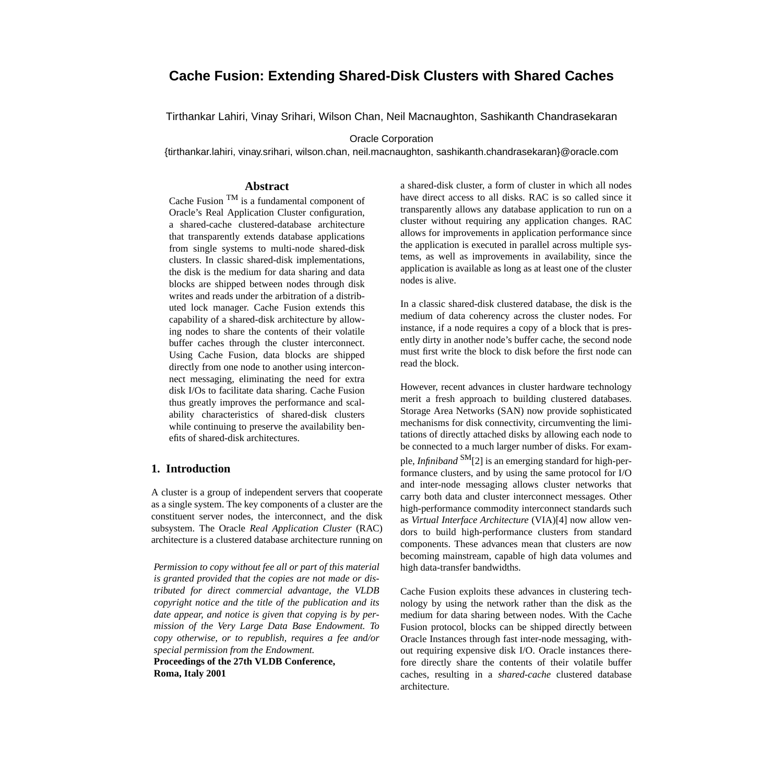# **Cache Fusion: Extending Shared-Disk Clusters with Shared Caches**

Tirthankar Lahiri, Vinay Srihari, Wilson Chan, Neil Macnaughton, Sashikanth Chandrasekaran

Oracle Corporation

{tirthankar.lahiri, vinay.srihari, wilson.chan, neil.macnaughton, sashikanth.chandrasekaran}@oracle.com

### **Abstract**

Cache Fusion TM is a fundamental component of Oracle's Real Application Cluster configuration, a shared-cache clustered-database architecture that transparently extends database applications from single systems to multi-node shared-disk clusters. In classic shared-disk implementations, the disk is the medium for data sharing and data blocks are shipped between nodes through disk writes and reads under the arbitration of a distributed lock manager. Cache Fusion extends this capability of a shared-disk architecture by allowing nodes to share the contents of their volatile buffer caches through the cluster interconnect. Using Cache Fusion, data blocks are shipped directly from one node to another using interconnect messaging, eliminating the need for extra disk I/Os to facilitate data sharing. Cache Fusion thus greatly improves the performance and scalability characteristics of shared-disk clusters while continuing to preserve the availability benefits of shared-disk architectures.

### **1. Introduction**

A cluster is a group of independent servers that cooperate as a single system. The key components of a cluster are the constituent server nodes, the interconnect, and the disk subsystem. The Oracle *Real Application Cluster* (RAC) architecture is a clustered database architecture running on

*Permission to copy without fee all or part of this material is granted provided that the copies are not made or distributed for direct commercial advantage, the VLDB copyright notice and the title of the publication and its date appear, and notice is given that copying is by permission of the Very Large Data Base Endowment. To copy otherwise, or to republish, requires a fee and/or special permission from the Endowment.*

**Proceedings of the 27th VLDB Conference, Roma, Italy 2001**

a shared-disk cluster, a form of cluster in which all nodes have direct access to all disks. RAC is so called since it transparently allows any database application to run on a cluster without requiring any application changes. RAC allows for improvements in application performance since the application is executed in parallel across multiple systems, as well as improvements in availability, since the application is available as long as at least one of the cluster nodes is alive.

In a classic shared-disk clustered database, the disk is the medium of data coherency across the cluster nodes. For instance, if a node requires a copy of a block that is presently dirty in another node's buffer cache, the second node must first write the block to disk before the first node can read the block.

However, recent advances in cluster hardware technology merit a fresh approach to building clustered databases. Storage Area Networks (SAN) now provide sophisticated mechanisms for disk connectivity, circumventing the limitations of directly attached disks by allowing each node to be connected to a much larger number of disks. For example, *Infiniband* SM[2] is an emerging standard for high-performance clusters, and by using the same protocol for I/O and inter-node messaging allows cluster networks that carry both data and cluster interconnect messages. Other high-performance commodity interconnect standards such as *Virtual Interface Architecture* (VIA)[4] now allow vendors to build high-performance clusters from standard components. These advances mean that clusters are now becoming mainstream, capable of high data volumes and high data-transfer bandwidths.

Cache Fusion exploits these advances in clustering technology by using the network rather than the disk as the medium for data sharing between nodes. With the Cache Fusion protocol, blocks can be shipped directly between Oracle Instances through fast inter-node messaging, without requiring expensive disk I/O. Oracle instances therefore directly share the contents of their volatile buffer caches, resulting in a *shared-cache* clustered database architecture.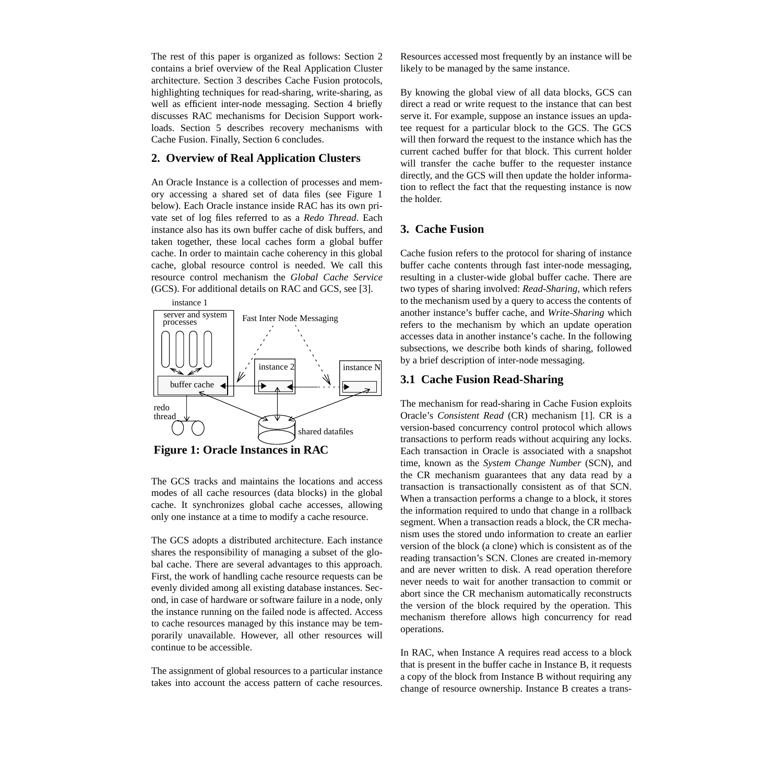The rest of this paper is organized as follows: Section 2 contains a brief overview of the Real Application Cluster architecture. Section 3 describes Cache Fusion protocols, highlighting techniques for read-sharing, write-sharing, as well as efficient inter-node messaging. Section 4 briefly discusses RAC mechanisms for Decision Support workloads. Section 5 describes recovery mechanisms with Cache Fusion. Finally, Section 6 concludes.

#### **2. Overview of Real Application Clusters**

An Oracle Instance is a collection of processes and memory accessing a shared set of data files (see Figure 1 below). Each Oracle instance inside RAC has its own private set of log files referred to as a *Redo Thread*. Each instance also has its own buffer cache of disk buffers, and taken together, these local caches form a global buffer cache. In order to maintain cache coherency in this global cache, global resource control is needed. We call this resource control mechanism the *Global Cache Service* (GCS). For additional details on RAC and GCS, see [3].



**Figure 1: Oracle Instances in RAC**

The GCS tracks and maintains the locations and access modes of all cache resources (data blocks) in the global cache. It synchronizes global cache accesses, allowing only one instance at a time to modify a cache resource.

The GCS adopts a distributed architecture. Each instance shares the responsibility of managing a subset of the global cache. There are several advantages to this approach. First, the work of handling cache resource requests can be evenly divided among all existing database instances. Second, in case of hardware or software failure in a node, only the instance running on the failed node is affected. Access to cache resources managed by this instance may be temporarily unavailable. However, all other resources will continue to be accessible.

The assignment of global resources to a particular instance takes into account the access pattern of cache resources. Resources accessed most frequently by an instance will be likely to be managed by the same instance.

By knowing the global view of all data blocks, GCS can direct a read or write request to the instance that can best serve it. For example, suppose an instance issues an updatee request for a particular block to the GCS. The GCS will then forward the request to the instance which has the current cached buffer for that block. This current holder will transfer the cache buffer to the requester instance directly, and the GCS will then update the holder information to reflect the fact that the requesting instance is now the holder.

### **3. Cache Fusion**

Cache fusion refers to the protocol for sharing of instance buffer cache contents through fast inter-node messaging, resulting in a cluster-wide global buffer cache. There are two types of sharing involved: *Read-Sharing*, which refers to the mechanism used by a query to access the contents of another instance's buffer cache, and *Write-Sharing* which refers to the mechanism by which an update operation accesses data in another instance's cache. In the following subsections, we describe both kinds of sharing, followed by a brief description of inter-node messaging.

### **3.1 Cache Fusion Read-Sharing**

The mechanism for read-sharing in Cache Fusion exploits Oracle's *Consistent Read* (CR) mechanism [1]. CR is a version-based concurrency control protocol which allows transactions to perform reads without acquiring any locks. Each transaction in Oracle is associated with a snapshot time, known as the *System Change Number* (SCN), and the CR mechanism guarantees that any data read by a transaction is transactionally consistent as of that SCN. When a transaction performs a change to a block, it stores the information required to undo that change in a rollback segment. When a transaction reads a block, the CR mechanism uses the stored undo information to create an earlier version of the block (a clone) which is consistent as of the reading transaction's SCN. Clones are created in-memory and are never written to disk. A read operation therefore never needs to wait for another transaction to commit or abort since the CR mechanism automatically reconstructs the version of the block required by the operation. This mechanism therefore allows high concurrency for read operations.

In RAC, when Instance A requires read access to a block that is present in the buffer cache in Instance B, it requests a copy of the block from Instance B without requiring any change of resource ownership. Instance B creates a trans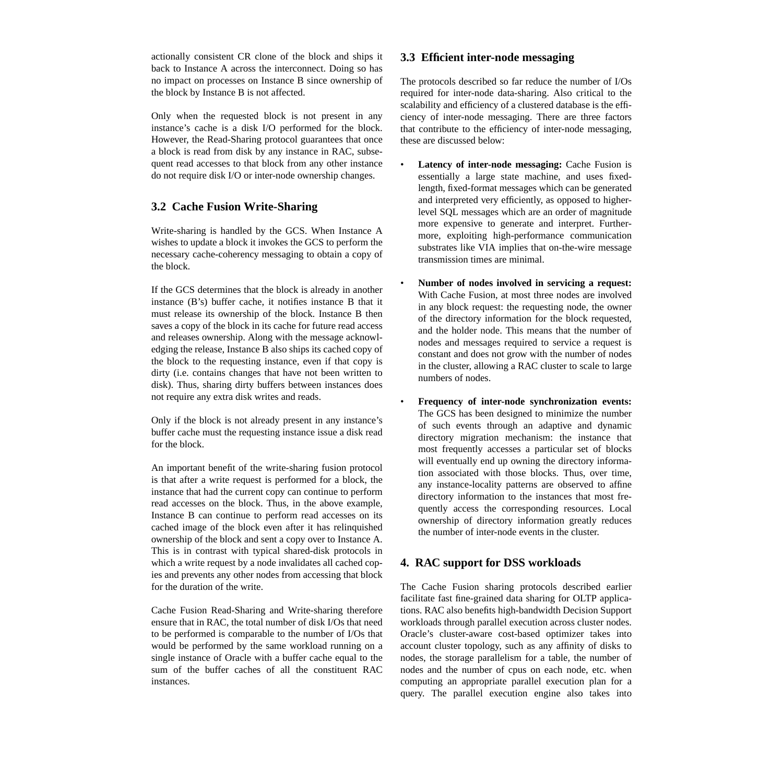actionally consistent CR clone of the block and ships it back to Instance A across the interconnect. Doing so has no impact on processes on Instance B since ownership of the block by Instance B is not affected.

Only when the requested block is not present in any instance's cache is a disk I/O performed for the block. However, the Read-Sharing protocol guarantees that once a block is read from disk by any instance in RAC, subsequent read accesses to that block from any other instance do not require disk I/O or inter-node ownership changes.

## **3.2 Cache Fusion Write-Sharing**

Write-sharing is handled by the GCS. When Instance A wishes to update a block it invokes the GCS to perform the necessary cache-coherency messaging to obtain a copy of the block.

If the GCS determines that the block is already in another instance (B's) buffer cache, it notifies instance B that it must release its ownership of the block. Instance B then saves a copy of the block in its cache for future read access and releases ownership. Along with the message acknowledging the release, Instance B also ships its cached copy of the block to the requesting instance, even if that copy is dirty (i.e. contains changes that have not been written to disk). Thus, sharing dirty buffers between instances does not require any extra disk writes and reads.

Only if the block is not already present in any instance's buffer cache must the requesting instance issue a disk read for the block.

An important benefit of the write-sharing fusion protocol is that after a write request is performed for a block, the instance that had the current copy can continue to perform read accesses on the block. Thus, in the above example, Instance B can continue to perform read accesses on its cached image of the block even after it has relinquished ownership of the block and sent a copy over to Instance A. This is in contrast with typical shared-disk protocols in which a write request by a node invalidates all cached copies and prevents any other nodes from accessing that block for the duration of the write.

Cache Fusion Read-Sharing and Write-sharing therefore ensure that in RAC, the total number of disk I/Os that need to be performed is comparable to the number of I/Os that would be performed by the same workload running on a single instance of Oracle with a buffer cache equal to the sum of the buffer caches of all the constituent RAC instances.

## **3.3 Efficient inter-node messaging**

The protocols described so far reduce the number of I/Os required for inter-node data-sharing. Also critical to the scalability and efficiency of a clustered database is the efficiency of inter-node messaging. There are three factors that contribute to the efficiency of inter-node messaging, these are discussed below:

- **Latency of inter-node messaging:** Cache Fusion is essentially a large state machine, and uses fixedlength, fixed-format messages which can be generated and interpreted very efficiently, as opposed to higherlevel SQL messages which are an order of magnitude more expensive to generate and interpret. Furthermore, exploiting high-performance communication substrates like VIA implies that on-the-wire message transmission times are minimal.
- **Number of nodes involved in servicing a request:** With Cache Fusion, at most three nodes are involved in any block request: the requesting node, the owner of the directory information for the block requested, and the holder node. This means that the number of nodes and messages required to service a request is constant and does not grow with the number of nodes in the cluster, allowing a RAC cluster to scale to large numbers of nodes.
- **Frequency of inter-node synchronization events:** The GCS has been designed to minimize the number of such events through an adaptive and dynamic directory migration mechanism: the instance that most frequently accesses a particular set of blocks will eventually end up owning the directory information associated with those blocks. Thus, over time, any instance-locality patterns are observed to affine directory information to the instances that most frequently access the corresponding resources. Local ownership of directory information greatly reduces the number of inter-node events in the cluster.

## **4. RAC support for DSS workloads**

The Cache Fusion sharing protocols described earlier facilitate fast fine-grained data sharing for OLTP applications. RAC also benefits high-bandwidth Decision Support workloads through parallel execution across cluster nodes. Oracle's cluster-aware cost-based optimizer takes into account cluster topology, such as any affinity of disks to nodes, the storage parallelism for a table, the number of nodes and the number of cpus on each node, etc. when computing an appropriate parallel execution plan for a query. The parallel execution engine also takes into